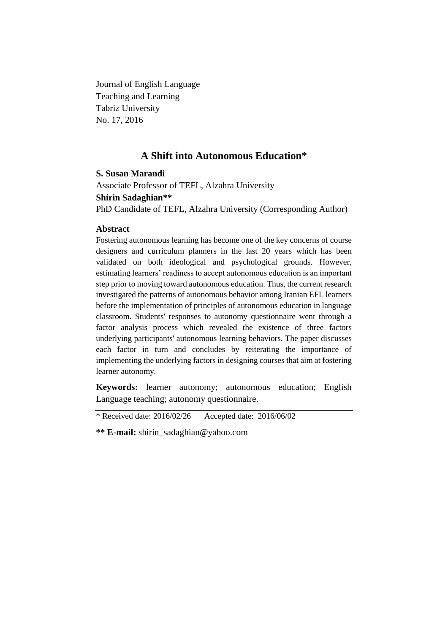Journal of English Language Teaching and Learning Tabriz University No. 17, 2016

# **A Shift into Autonomous Education\***

# **S. Susan Marandi**

Associate Professor of TEFL, Alzahra University

# **Shirin Sadaghian\*\***

PhD Candidate of TEFL, Alzahra University (Corresponding Author)

# **Abstract**

Fostering autonomous learning has become one of the key concerns of course designers and curriculum planners in the last 20 years which has been validated on both ideological and psychological grounds. However, estimating learners' readiness to accept autonomous education is an important step prior to moving toward autonomous education. Thus, the current research investigated the patterns of autonomous behavior among Iranian EFL learners before the implementation of principles of autonomous education in language classroom. Students' responses to autonomy questionnaire went through a factor analysis process which revealed the existence of three factors underlying participants' autonomous learning behaviors. The paper discusses each factor in turn and concludes by reiterating the importance of implementing the underlying factors in designing courses that aim at fostering learner autonomy.

**Keywords:** learner autonomy; autonomous education; English Language teaching; autonomy questionnaire.

\* Received date: 2016/02/26 Accepted date: 2016/06/02

**\*\* E-mail:** shirin\_sadaghian@yahoo.com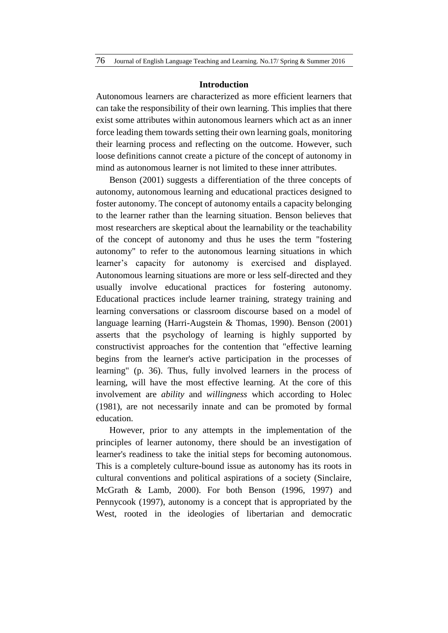#### **Introduction**

Autonomous learners are characterized as more efficient learners that can take the responsibility of their own learning. This implies that there exist some attributes within autonomous learners which act as an inner force leading them towards setting their own learning goals, monitoring their learning process and reflecting on the outcome. However, such loose definitions cannot create a picture of the concept of autonomy in mind as autonomous learner is not limited to these inner attributes.

Benson (2001) suggests a differentiation of the three concepts of autonomy, autonomous learning and educational practices designed to foster autonomy. The concept of autonomy entails a capacity belonging to the learner rather than the learning situation. Benson believes that most researchers are skeptical about the learnability or the teachability of the concept of autonomy and thus he uses the term "fostering autonomy" to refer to the autonomous learning situations in which learner's capacity for autonomy is exercised and displayed. Autonomous learning situations are more or less self-directed and they usually involve educational practices for fostering autonomy. Educational practices include learner training, strategy training and learning conversations or classroom discourse based on a model of language learning (Harri-Augstein & Thomas, 1990). Benson (2001) asserts that the psychology of learning is highly supported by constructivist approaches for the contention that "effective learning begins from the learner's active participation in the processes of learning" (p. 36). Thus, fully involved learners in the process of learning, will have the most effective learning. At the core of this involvement are *ability* and *willingness* which according to Holec (1981), are not necessarily innate and can be promoted by formal education.

However, prior to any attempts in the implementation of the principles of learner autonomy, there should be an investigation of learner's readiness to take the initial steps for becoming autonomous. This is a completely culture-bound issue as autonomy has its roots in cultural conventions and political aspirations of a society (Sinclaire, McGrath & Lamb, 2000). For both Benson (1996, 1997) and Pennycook (1997), autonomy is a concept that is appropriated by the West, rooted in the ideologies of libertarian and democratic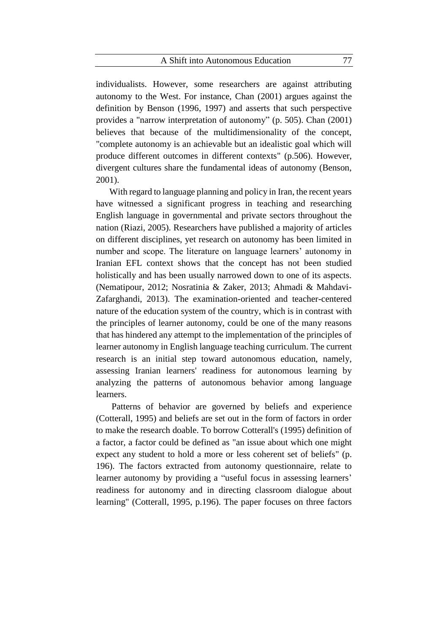individualists. However, some researchers are against attributing autonomy to the West. For instance, Chan (2001) argues against the definition by Benson (1996, 1997) and asserts that such perspective provides a "narrow interpretation of autonomy" (p. 505). Chan (2001) believes that because of the multidimensionality of the concept, "complete autonomy is an achievable but an idealistic goal which will produce different outcomes in different contexts" (p.506). However, divergent cultures share the fundamental ideas of autonomy (Benson, 2001).

With regard to language planning and policy in Iran, the recent years have witnessed a significant progress in teaching and researching English language in governmental and private sectors throughout the nation (Riazi, 2005). Researchers have published a majority of articles on different disciplines, yet research on autonomy has been limited in number and scope. The literature on language learners' autonomy in Iranian EFL context shows that the concept has not been studied holistically and has been usually narrowed down to one of its aspects. (Nematipour, 2012; Nosratinia & Zaker, 2013; Ahmadi & Mahdavi-Zafarghandi, 2013). The examination-oriented and teacher-centered nature of the education system of the country, which is in contrast with the principles of learner autonomy, could be one of the many reasons that has hindered any attempt to the implementation of the principles of learner autonomy in English language teaching curriculum. The current research is an initial step toward autonomous education, namely, assessing Iranian learners' readiness for autonomous learning by analyzing the patterns of autonomous behavior among language learners.

Patterns of behavior are governed by beliefs and experience (Cotterall, 1995) and beliefs are set out in the form of factors in order to make the research doable. To borrow Cotterall's (1995) definition of a factor, a factor could be defined as "an issue about which one might expect any student to hold a more or less coherent set of beliefs" (p. 196). The factors extracted from autonomy questionnaire, relate to learner autonomy by providing a "useful focus in assessing learners' readiness for autonomy and in directing classroom dialogue about learning" (Cotterall, 1995, p.196). The paper focuses on three factors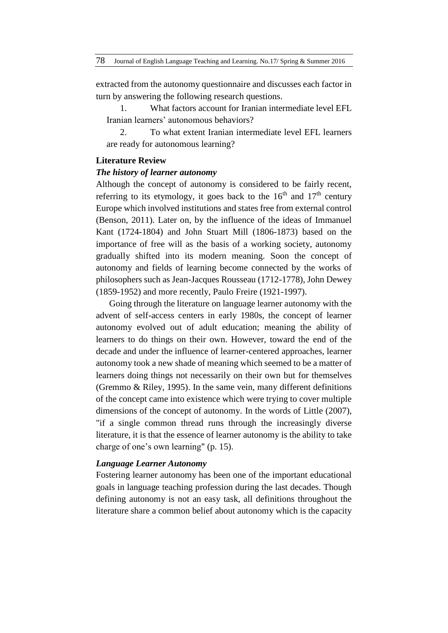extracted from the autonomy questionnaire and discusses each factor in turn by answering the following research questions.

1. What factors account for Iranian intermediate level EFL Iranian learners' autonomous behaviors?

2. To what extent Iranian intermediate level EFL learners are ready for autonomous learning?

#### **Literature Review**

#### *The history of learner autonomy*

Although the concept of autonomy is considered to be fairly recent, referring to its etymology, it goes back to the  $16<sup>th</sup>$  and  $17<sup>th</sup>$  century Europe which involved institutions and states free from external control (Benson, 2011). Later on, by the influence of the ideas of Immanuel Kant (1724-1804) and John Stuart Mill (1806-1873) based on the importance of free will as the basis of a working society, autonomy gradually shifted into its modern meaning. Soon the concept of autonomy and fields of learning become connected by the works of philosophers such as Jean-Jacques Rousseau (1712-1778), John Dewey (1859-1952) and more recently, Paulo Freire (1921-1997).

Going through the literature on language learner autonomy with the advent of self-access centers in early 1980s, the concept of learner autonomy evolved out of adult education; meaning the ability of learners to do things on their own. However, toward the end of the decade and under the influence of learner-centered approaches, learner autonomy took a new shade of meaning which seemed to be a matter of learners doing things not necessarily on their own but for themselves (Gremmo & Riley, 1995). In the same vein, many different definitions of the concept came into existence which were trying to cover multiple dimensions of the concept of autonomy. In the words of Little (2007), "if a single common thread runs through the increasingly diverse literature, it is that the essence of learner autonomy is the ability to take charge of one's own learning" (p. 15).

#### *Language Learner Autonomy*

Fostering learner autonomy has been one of the important educational goals in language teaching profession during the last decades. Though defining autonomy is not an easy task, all definitions throughout the literature share a common belief about autonomy which is the capacity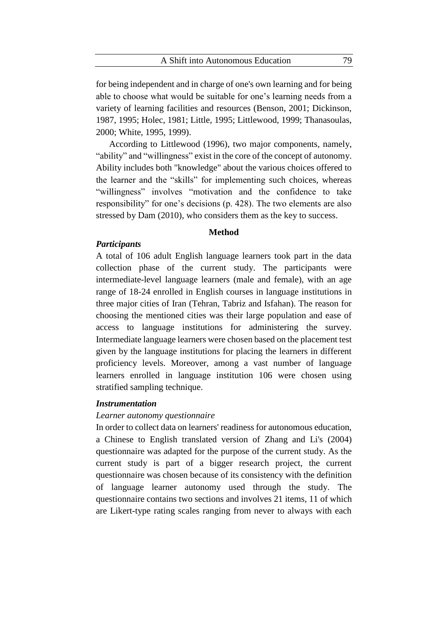for being independent and in charge of one's own learning and for being able to choose what would be suitable for one's learning needs from a variety of learning facilities and resources (Benson, 2001; Dickinson, 1987, 1995; Holec, 1981; Little, 1995; Littlewood, 1999; Thanasoulas, 2000; White, 1995, 1999).

According to Littlewood (1996), two major components, namely, "ability" and "willingness" exist in the core of the concept of autonomy. Ability includes both "knowledge" about the various choices offered to the learner and the "skills" for implementing such choices, whereas "willingness" involves "motivation and the confidence to take responsibility" for one's decisions (p. 428). The two elements are also stressed by Dam (2010), who considers them as the key to success.

#### **Method**

# *Participants*

A total of 106 adult English language learners took part in the data collection phase of the current study. The participants were intermediate-level language learners (male and female), with an age range of 18-24 enrolled in English courses in language institutions in three major cities of Iran (Tehran, Tabriz and Isfahan). The reason for choosing the mentioned cities was their large population and ease of access to language institutions for administering the survey. Intermediate language learners were chosen based on the placement test given by the language institutions for placing the learners in different proficiency levels. Moreover, among a vast number of language learners enrolled in language institution 106 were chosen using stratified sampling technique.

### *Instrumentation*

#### *Learner autonomy questionnaire*

In order to collect data on learners' readiness for autonomous education, a Chinese to English translated version of Zhang and Li's (2004) questionnaire was adapted for the purpose of the current study. As the current study is part of a bigger research project, the current questionnaire was chosen because of its consistency with the definition of language learner autonomy used through the study. The questionnaire contains two sections and involves 21 items, 11 of which are Likert-type rating scales ranging from never to always with each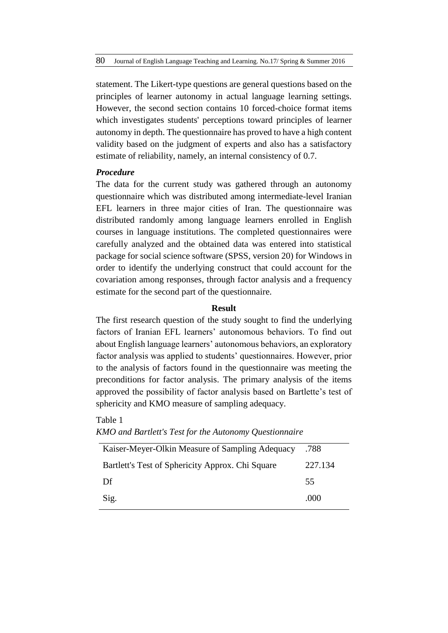statement. The Likert-type questions are general questions based on the principles of learner autonomy in actual language learning settings. However, the second section contains 10 forced-choice format items which investigates students' perceptions toward principles of learner autonomy in depth. The questionnaire has proved to have a high content validity based on the judgment of experts and also has a satisfactory estimate of reliability, namely, an internal consistency of 0.7.

## *Procedure*

The data for the current study was gathered through an autonomy questionnaire which was distributed among intermediate-level Iranian EFL learners in three major cities of Iran. The questionnaire was distributed randomly among language learners enrolled in English courses in language institutions. The completed questionnaires were carefully analyzed and the obtained data was entered into statistical package for social science software (SPSS, version 20) for Windows in order to identify the underlying construct that could account for the covariation among responses, through factor analysis and a frequency estimate for the second part of the questionnaire.

## **Result**

The first research question of the study sought to find the underlying factors of Iranian EFL learners' autonomous behaviors. To find out about English language learners' autonomous behaviors, an exploratory factor analysis was applied to students' questionnaires. However, prior to the analysis of factors found in the questionnaire was meeting the preconditions for factor analysis. The primary analysis of the items approved the possibility of factor analysis based on Bartlette's test of sphericity and KMO measure of sampling adequacy.

# Table 1

| KMO and Bartlett's Test for the Autonomy Questionnaire |  |  |  |  |
|--------------------------------------------------------|--|--|--|--|
|--------------------------------------------------------|--|--|--|--|

| Kaiser-Meyer-Olkin Measure of Sampling Adequacy  | .788    |
|--------------------------------------------------|---------|
| Bartlett's Test of Sphericity Approx. Chi Square | 227.134 |
| Df                                               | 55      |
| Sig.                                             | .000    |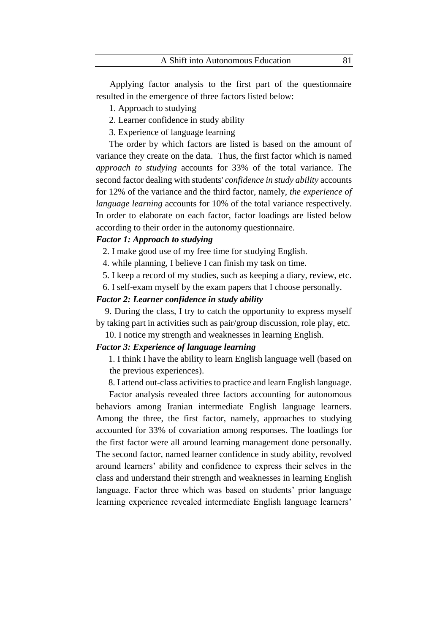Applying factor analysis to the first part of the questionnaire resulted in the emergence of three factors listed below:

1. Approach to studying

2. Learner confidence in study ability

3. Experience of language learning

The order by which factors are listed is based on the amount of variance they create on the data. Thus, the first factor which is named *approach to studying* accounts for 33% of the total variance. The second factor dealing with students' *confidence in study ability* accounts for 12% of the variance and the third factor, namely, *the experience of language learning* accounts for 10% of the total variance respectively. In order to elaborate on each factor, factor loadings are listed below according to their order in the autonomy questionnaire.

### *Factor 1: Approach to studying*

2. I make good use of my free time for studying English.

4. while planning, I believe I can finish my task on time.

5. I keep a record of my studies, such as keeping a diary, review, etc.

6. I self-exam myself by the exam papers that I choose personally.

# *Factor 2: Learner confidence in study ability*

 9. During the class, I try to catch the opportunity to express myself by taking part in activities such as pair/group discussion, role play, etc.

10. I notice my strength and weaknesses in learning English.

# *Factor 3: Experience of language learning*

1. I think I have the ability to learn English language well (based on the previous experiences).

8. I attend out-class activities to practice and learn English language.

Factor analysis revealed three factors accounting for autonomous behaviors among Iranian intermediate English language learners. Among the three, the first factor, namely, approaches to studying accounted for 33% of covariation among responses. The loadings for the first factor were all around learning management done personally. The second factor, named learner confidence in study ability, revolved around learners' ability and confidence to express their selves in the class and understand their strength and weaknesses in learning English language. Factor three which was based on students' prior language learning experience revealed intermediate English language learners'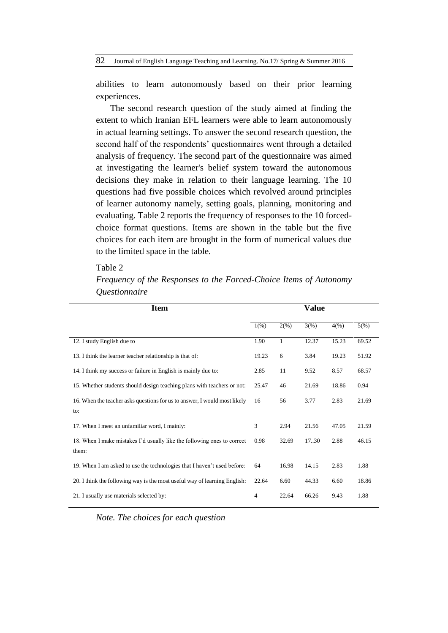abilities to learn autonomously based on their prior learning experiences.

The second research question of the study aimed at finding the extent to which Iranian EFL learners were able to learn autonomously in actual learning settings. To answer the second research question, the second half of the respondents' questionnaires went through a detailed analysis of frequency. The second part of the questionnaire was aimed at investigating the learner's belief system toward the autonomous decisions they make in relation to their language learning. The 10 questions had five possible choices which revolved around principles of learner autonomy namely, setting goals, planning, monitoring and evaluating. Table 2 reports the frequency of responses to the 10 forcedchoice format questions. Items are shown in the table but the five choices for each item are brought in the form of numerical values due to the limited space in the table.

#### Table 2

*Frequency of the Responses to the Forced-Choice Items of Autonomy Questionnaire*

| <b>Item</b>                                                                      |                | Value        |       |       |       |  |  |
|----------------------------------------------------------------------------------|----------------|--------------|-------|-------|-------|--|--|
|                                                                                  | 1(% )          | 2(%)         | 3(%)  | 4(%)  | 5(%)  |  |  |
| 12. I study English due to                                                       | 1.90           | $\mathbf{1}$ | 12.37 | 15.23 | 69.52 |  |  |
| 13. I think the learner teacher relationship is that of:                         | 19.23          | 6            | 3.84  | 19.23 | 51.92 |  |  |
| 14. I think my success or failure in English is mainly due to:                   | 2.85           | 11           | 9.52  | 8.57  | 68.57 |  |  |
| 15. Whether students should design teaching plans with teachers or not:          | 25.47          | 46           | 21.69 | 18.86 | 0.94  |  |  |
| 16. When the teacher asks questions for us to answer, I would most likely<br>to: | 16             | 56           | 3.77  | 2.83  | 21.69 |  |  |
| 17. When I meet an unfamiliar word, I mainly:                                    | 3              | 2.94         | 21.56 | 47.05 | 21.59 |  |  |
| 18. When I make mistakes I'd usually like the following ones to correct<br>them: | 0.98           | 32.69        | 17.30 | 2.88  | 46.15 |  |  |
| 19. When I am asked to use the technologies that I haven't used before:          | 64             | 16.98        | 14.15 | 2.83  | 1.88  |  |  |
| 20. I think the following way is the most useful way of learning English:        | 22.64          | 6.60         | 44.33 | 6.60  | 18.86 |  |  |
| 21. I usually use materials selected by:                                         | $\overline{4}$ | 22.64        | 66.26 | 9.43  | 1.88  |  |  |

*Note. The choices for each question*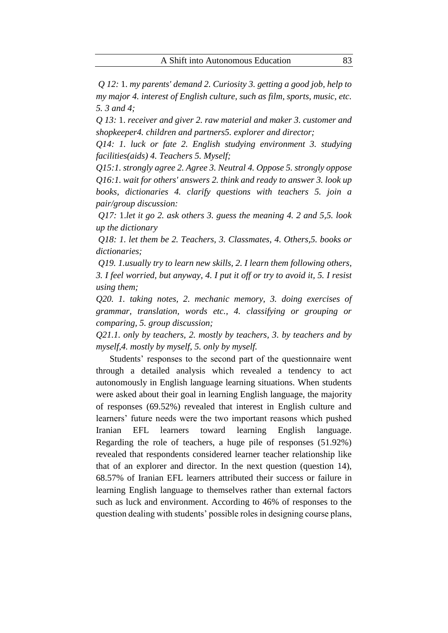*Q 12:* 1. *my parents' demand 2. Curiosity 3. getting a good job, help to my major 4. interest of English culture, such as film, sports, music, etc. 5. 3 and 4;* 

*Q 13:* 1. *receiver and giver 2. raw material and maker 3. customer and shopkeeper4. children and partners5. explorer and director;* 

*Q14: 1. luck or fate 2. English studying environment 3. studying facilities(aids) 4. Teachers 5. Myself;* 

*Q15:1. strongly agree 2. Agree 3. Neutral 4. Oppose 5. strongly oppose Q16:1. wait for others' answers 2. think and ready to answer 3. look up books, dictionaries 4. clarify questions with teachers 5. join a pair/group discussion:* 

*Q17:* 1.*let it go 2. ask others 3. guess the meaning 4. 2 and 5,5. look up the dictionary* 

*Q18: 1. let them be 2. Teachers, 3. Classmates, 4. Others,5. books or dictionaries;* 

*Q19. 1.usually try to learn new skills, 2. I learn them following others, 3. I feel worried, but anyway, 4. I put it off or try to avoid it, 5. I resist using them;* 

*Q20. 1. taking notes, 2. mechanic memory, 3. doing exercises of grammar, translation, words etc., 4. classifying or grouping or comparing, 5. group discussion;* 

*Q21.1. only by teachers, 2. mostly by teachers, 3. by teachers and by myself,4. mostly by myself, 5. only by myself.* 

Students' responses to the second part of the questionnaire went through a detailed analysis which revealed a tendency to act autonomously in English language learning situations. When students were asked about their goal in learning English language, the majority of responses (69.52%) revealed that interest in English culture and learners' future needs were the two important reasons which pushed Iranian EFL learners toward learning English language. Regarding the role of teachers, a huge pile of responses (51.92%) revealed that respondents considered learner teacher relationship like that of an explorer and director. In the next question (question 14), 68.57% of Iranian EFL learners attributed their success or failure in learning English language to themselves rather than external factors such as luck and environment. According to 46% of responses to the question dealing with students' possible roles in designing course plans,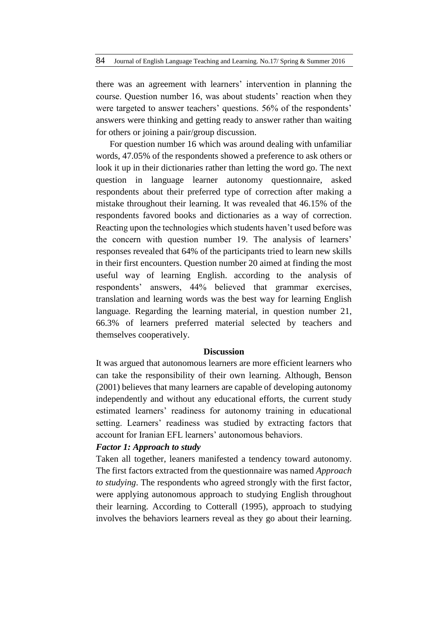there was an agreement with learners' intervention in planning the course. Question number 16, was about students' reaction when they were targeted to answer teachers' questions. 56% of the respondents' answers were thinking and getting ready to answer rather than waiting for others or joining a pair/group discussion.

For question number 16 which was around dealing with unfamiliar words, 47.05% of the respondents showed a preference to ask others or look it up in their dictionaries rather than letting the word go. The next question in language learner autonomy questionnaire, asked respondents about their preferred type of correction after making a mistake throughout their learning. It was revealed that 46.15% of the respondents favored books and dictionaries as a way of correction. Reacting upon the technologies which students haven't used before was the concern with question number 19. The analysis of learners' responses revealed that 64% of the participants tried to learn new skills in their first encounters. Question number 20 aimed at finding the most useful way of learning English. according to the analysis of respondents' answers, 44% believed that grammar exercises, translation and learning words was the best way for learning English language. Regarding the learning material, in question number 21, 66.3% of learners preferred material selected by teachers and themselves cooperatively.

#### **Discussion**

It was argued that autonomous learners are more efficient learners who can take the responsibility of their own learning. Although, Benson (2001) believes that many learners are capable of developing autonomy independently and without any educational efforts, the current study estimated learners' readiness for autonomy training in educational setting. Learners' readiness was studied by extracting factors that account for Iranian EFL learners' autonomous behaviors.

#### *Factor 1: Approach to study*

Taken all together, leaners manifested a tendency toward autonomy. The first factors extracted from the questionnaire was named *Approach to studying*. The respondents who agreed strongly with the first factor, were applying autonomous approach to studying English throughout their learning. According to Cotterall (1995), approach to studying involves the behaviors learners reveal as they go about their learning.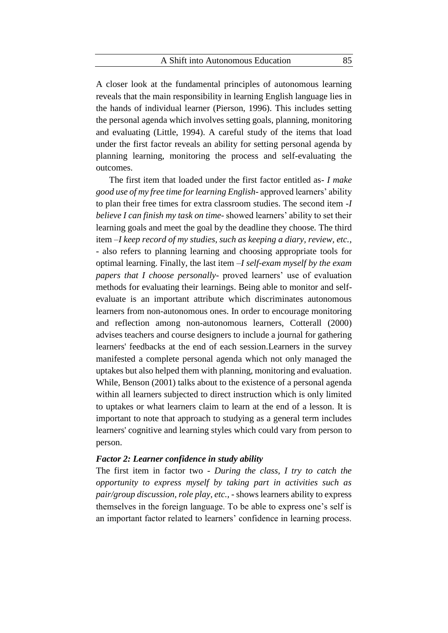A closer look at the fundamental principles of autonomous learning reveals that the main responsibility in learning English language lies in the hands of individual learner (Pierson, 1996). This includes setting the personal agenda which involves setting goals, planning, monitoring and evaluating (Little, 1994). A careful study of the items that load under the first factor reveals an ability for setting personal agenda by planning learning, monitoring the process and self-evaluating the outcomes.

The first item that loaded under the first factor entitled as- *I make good use of my free time for learning English*- approved learners' ability to plan their free times for extra classroom studies. The second item -*I believe I can finish my task on time-* showed learners' ability to set their learning goals and meet the goal by the deadline they choose*.* The third item –*I keep record of my studies, such as keeping a diary, review, etc.*, - also refers to planning learning and choosing appropriate tools for optimal learning. Finally, the last item –*I self-exam myself by the exam papers that I choose personally*- proved learners' use of evaluation methods for evaluating their learnings. Being able to monitor and selfevaluate is an important attribute which discriminates autonomous learners from non-autonomous ones. In order to encourage monitoring and reflection among non-autonomous learners, Cotterall (2000) advises teachers and course designers to include a journal for gathering learners' feedbacks at the end of each session.Learners in the survey manifested a complete personal agenda which not only managed the uptakes but also helped them with planning, monitoring and evaluation. While, Benson (2001) talks about to the existence of a personal agenda within all learners subjected to direct instruction which is only limited to uptakes or what learners claim to learn at the end of a lesson. It is important to note that approach to studying as a general term includes learners' cognitive and learning styles which could vary from person to person.

# *Factor 2: Learner confidence in study ability*

The first item in factor two - *During the class, I try to catch the opportunity to express myself by taking part in activities such as pair/group discussion, role play, etc.,* - shows learners ability to express themselves in the foreign language. To be able to express one's self is an important factor related to learners' confidence in learning process.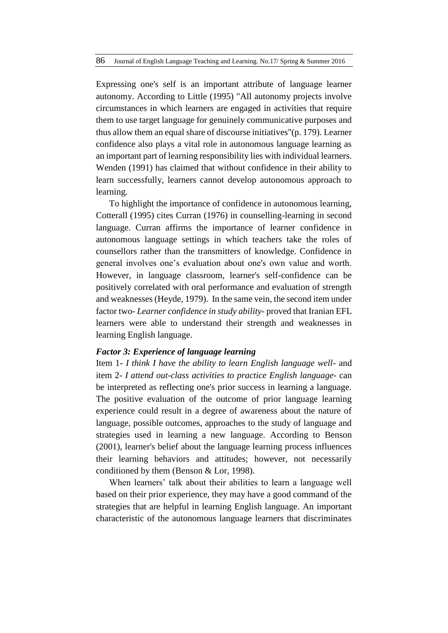Expressing one's self is an important attribute of language learner autonomy. According to Little (1995) "All autonomy projects involve circumstances in which learners are engaged in activities that require them to use target language for genuinely communicative purposes and thus allow them an equal share of discourse initiatives"(p. 179). Learner confidence also plays a vital role in autonomous language learning as an important part of learning responsibility lies with individual learners. Wenden (1991) has claimed that without confidence in their ability to learn successfully, learners cannot develop autonomous approach to learning.

To highlight the importance of confidence in autonomous learning, Cotterall (1995) cites Curran (1976) in counselling-learning in second language. Curran affirms the importance of learner confidence in autonomous language settings in which teachers take the roles of counsellors rather than the transmitters of knowledge. Confidence in general involves one's evaluation about one's own value and worth. However, in language classroom, learner's self-confidence can be positively correlated with oral performance and evaluation of strength and weaknesses (Heyde, 1979). In the same vein, the second item under factor two- *Learner confidence in study ability-* proved that Iranian EFL learners were able to understand their strength and weaknesses in learning English language.

#### *Factor 3: Experience of language learning*

Item 1- *I think I have the ability to learn English language well*- and item 2- *I attend out-class activities to practice English language*- can be interpreted as reflecting one's prior success in learning a language. The positive evaluation of the outcome of prior language learning experience could result in a degree of awareness about the nature of language, possible outcomes, approaches to the study of language and strategies used in learning a new language. According to Benson (2001), learner's belief about the language learning process influences their learning behaviors and attitudes; however, not necessarily conditioned by them (Benson & Lor, 1998).

When learners' talk about their abilities to learn a language well based on their prior experience, they may have a good command of the strategies that are helpful in learning English language. An important characteristic of the autonomous language learners that discriminates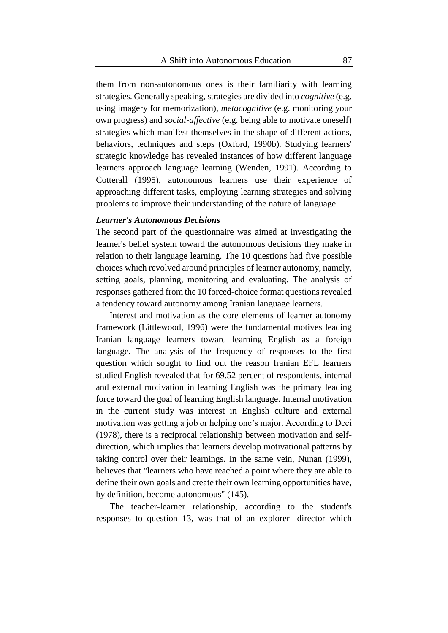#### A Shift into Autonomous Education 87

them from non-autonomous ones is their familiarity with learning strategies. Generally speaking, strategies are divided into *cognitive* (e.g. using imagery for memorization), *metacognitive* (e.g. monitoring your own progress) and *social-affective* (e.g. being able to motivate oneself) strategies which manifest themselves in the shape of different actions, behaviors, techniques and steps (Oxford, 1990b). Studying learners' strategic knowledge has revealed instances of how different language learners approach language learning (Wenden, 1991). According to Cotterall (1995), autonomous learners use their experience of approaching different tasks, employing learning strategies and solving problems to improve their understanding of the nature of language.

## *Learner's Autonomous Decisions*

The second part of the questionnaire was aimed at investigating the learner's belief system toward the autonomous decisions they make in relation to their language learning. The 10 questions had five possible choices which revolved around principles of learner autonomy, namely, setting goals, planning, monitoring and evaluating. The analysis of responses gathered from the 10 forced-choice format questions revealed a tendency toward autonomy among Iranian language learners.

Interest and motivation as the core elements of learner autonomy framework (Littlewood, 1996) were the fundamental motives leading Iranian language learners toward learning English as a foreign language. The analysis of the frequency of responses to the first question which sought to find out the reason Iranian EFL learners studied English revealed that for 69.52 percent of respondents, internal and external motivation in learning English was the primary leading force toward the goal of learning English language. Internal motivation in the current study was interest in English culture and external motivation was getting a job or helping one's major. According to Deci (1978), there is a reciprocal relationship between motivation and selfdirection, which implies that learners develop motivational patterns by taking control over their learnings. In the same vein, Nunan (1999), believes that "learners who have reached a point where they are able to define their own goals and create their own learning opportunities have, by definition, become autonomous" (145).

The teacher-learner relationship, according to the student's responses to question 13, was that of an explorer- director which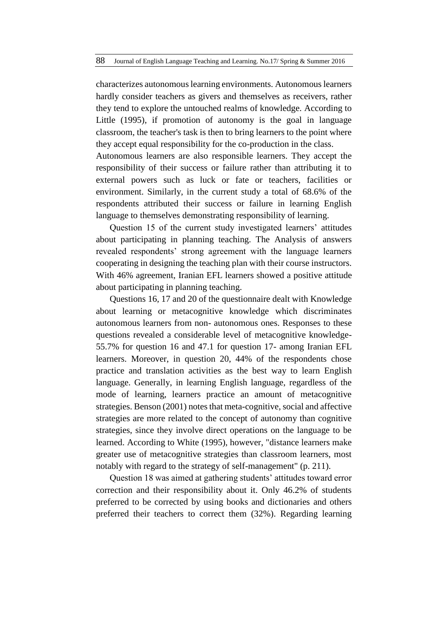characterizes autonomous learning environments. Autonomous learners hardly consider teachers as givers and themselves as receivers, rather they tend to explore the untouched realms of knowledge. According to Little (1995), if promotion of autonomy is the goal in language classroom, the teacher's task is then to bring learners to the point where they accept equal responsibility for the co-production in the class.

Autonomous learners are also responsible learners. They accept the responsibility of their success or failure rather than attributing it to external powers such as luck or fate or teachers, facilities or environment. Similarly, in the current study a total of 68.6% of the respondents attributed their success or failure in learning English language to themselves demonstrating responsibility of learning.

Question 15 of the current study investigated learners' attitudes about participating in planning teaching. The Analysis of answers revealed respondents' strong agreement with the language learners cooperating in designing the teaching plan with their course instructors. With 46% agreement, Iranian EFL learners showed a positive attitude about participating in planning teaching.

Questions 16, 17 and 20 of the questionnaire dealt with Knowledge about learning or metacognitive knowledge which discriminates autonomous learners from non- autonomous ones. Responses to these questions revealed a considerable level of metacognitive knowledge-55.7% for question 16 and 47.1 for question 17- among Iranian EFL learners. Moreover, in question 20, 44% of the respondents chose practice and translation activities as the best way to learn English language. Generally, in learning English language, regardless of the mode of learning, learners practice an amount of metacognitive strategies. Benson (2001) notes that meta-cognitive, social and affective strategies are more related to the concept of autonomy than cognitive strategies, since they involve direct operations on the language to be learned. According to White (1995), however, "distance learners make greater use of metacognitive strategies than classroom learners, most notably with regard to the strategy of self-management" (p. 211).

Question 18 was aimed at gathering students' attitudes toward error correction and their responsibility about it. Only 46.2% of students preferred to be corrected by using books and dictionaries and others preferred their teachers to correct them (32%). Regarding learning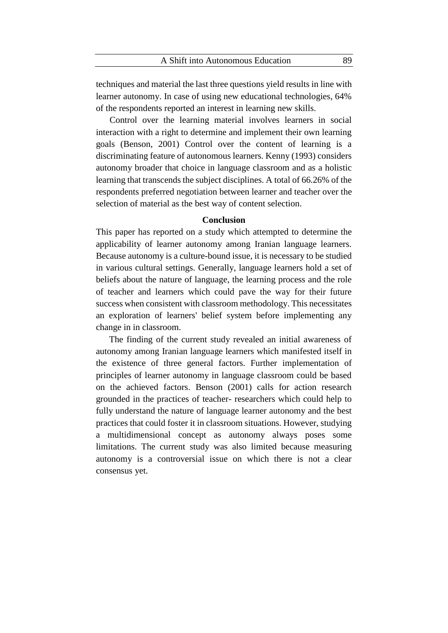techniques and material the last three questions yield results in line with learner autonomy. In case of using new educational technologies, 64% of the respondents reported an interest in learning new skills.

Control over the learning material involves learners in social interaction with a right to determine and implement their own learning goals (Benson, 2001) Control over the content of learning is a discriminating feature of autonomous learners. Kenny (1993) considers autonomy broader that choice in language classroom and as a holistic learning that transcends the subject disciplines. A total of 66.26% of the respondents preferred negotiation between learner and teacher over the selection of material as the best way of content selection.

# **Conclusion**

This paper has reported on a study which attempted to determine the applicability of learner autonomy among Iranian language learners. Because autonomy is a culture-bound issue, it is necessary to be studied in various cultural settings. Generally, language learners hold a set of beliefs about the nature of language, the learning process and the role of teacher and learners which could pave the way for their future success when consistent with classroom methodology. This necessitates an exploration of learners' belief system before implementing any change in in classroom.

The finding of the current study revealed an initial awareness of autonomy among Iranian language learners which manifested itself in the existence of three general factors. Further implementation of principles of learner autonomy in language classroom could be based on the achieved factors. Benson (2001) calls for action research grounded in the practices of teacher- researchers which could help to fully understand the nature of language learner autonomy and the best practices that could foster it in classroom situations. However, studying a multidimensional concept as autonomy always poses some limitations. The current study was also limited because measuring autonomy is a controversial issue on which there is not a clear consensus yet.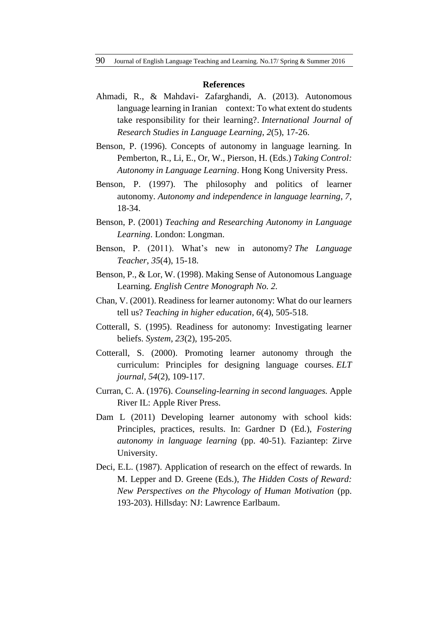#### **References**

- Ahmadi, R., & Mahdavi- Zafarghandi, A. (2013). Autonomous language learning in Iranian context: To what extent do students take responsibility for their learning?. *International Journal of Research Studies in Language Learning*, *2*(5), 17-26.
- Benson, P. (1996). Concepts of autonomy in language learning. In Pemberton, R., Li, E., Or, W., Pierson, H. (Eds.) *Taking Control: Autonomy in Language Learning*. Hong Kong University Press.
- Benson, P. (1997). The philosophy and politics of learner autonomy. *Autonomy and independence in language learning*, *7*, 18-34.
- Benson, P. (2001) *Teaching and Researching Autonomy in Language Learning*. London: Longman.
- Benson, P. (2011). What's new in autonomy? *The Language Teacher*, *35*(4), 15-18.
- Benson, P., & Lor, W. (1998). Making Sense of Autonomous Language Learning. *English Centre Monograph No. 2.*
- Chan, V. (2001). Readiness for learner autonomy: What do our learners tell us? *Teaching in higher education*, *6*(4), 505-518.
- Cotterall, S. (1995). Readiness for autonomy: Investigating learner beliefs. *System*, *23*(2), 195-205.
- Cotterall, S. (2000). Promoting learner autonomy through the curriculum: Principles for designing language courses. *ELT journal*, *54*(2), 109-117.
- Curran, C. A. (1976). *Counseling-learning in second languages.* Apple River IL: Apple River Press.
- Dam L (2011) Developing learner autonomy with school kids: Principles, practices, results. In: Gardner D (Ed.), *Fostering autonomy in language learning* (pp. 40-51). Faziantep: Zirve University.
- Deci, E.L. (1987). Application of research on the effect of rewards. In M. Lepper and D. Greene (Eds.), *The Hidden Costs of Reward: New Perspectives on the Phycology of Human Motivation* (pp. 193-203). Hillsday: NJ: Lawrence Earlbaum.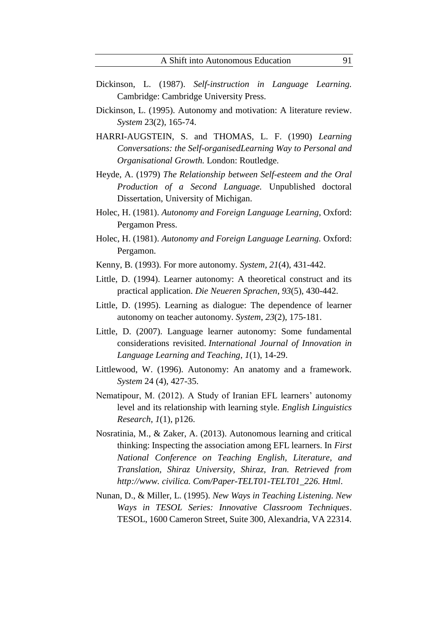- Dickinson, L. (1987). *Self-instruction in Language Learning.*  Cambridge: Cambridge University Press.
- Dickinson, L. (1995). Autonomy and motivation: A literature review. *System* 23(2), 165-74.
- HARRI-AUGSTEIN, S. and THOMAS, L. F. (1990) *Learning Conversations: the Self-organisedLearning Way to Personal and Organisational Growth.* London: Routledge.
- Heyde, A. (1979) *The Relationship between Self-esteem and the Oral Production of a Second Language.* Unpublished doctoral Dissertation, University of Michigan.
- Holec, H. (1981). *Autonomy and Foreign Language Learning*, Oxford: Pergamon Press.
- Holec, H. (1981). *Autonomy and Foreign Language Learning.* Oxford: Pergamon.
- Kenny, B. (1993). For more autonomy. *System, 21*(4), 431-442.
- Little, D. (1994). Learner autonomy: A theoretical construct and its practical application. *Die Neueren Sprachen*, *93*(5), 430-442.
- Little, D. (1995). Learning as dialogue: The dependence of learner autonomy on teacher autonomy. *System*, *23*(2), 175-181.
- Little, D. (2007). Language learner autonomy: Some fundamental considerations revisited. *International Journal of Innovation in Language Learning and Teaching*, *1*(1), 14-29.
- Littlewood, W. (1996). Autonomy: An anatomy and a framework. *System* 24 (4), 427-35.
- Nematipour, M. (2012). A Study of Iranian EFL learners' autonomy level and its relationship with learning style. *English Linguistics Research*, *1*(1), p126.
- Nosratinia, M., & Zaker, A. (2013). Autonomous learning and critical thinking: Inspecting the association among EFL learners. In *First National Conference on Teaching English, Literature, and Translation, Shiraz University, Shiraz, Iran. Retrieved from http://www. civilica. Com/Paper-TELT01-TELT01\_226. Html*.
- Nunan, D., & Miller, L. (1995). *New Ways in Teaching Listening. New Ways in TESOL Series: Innovative Classroom Techniques*. TESOL, 1600 Cameron Street, Suite 300, Alexandria, VA 22314.